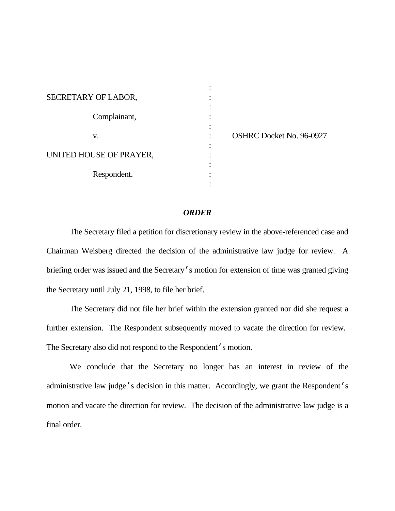| SECRETARY OF LABOR,     |                                 |
|-------------------------|---------------------------------|
|                         |                                 |
| Complainant,            |                                 |
|                         |                                 |
| v.                      | <b>OSHRC Docket No. 96-0927</b> |
|                         |                                 |
| UNITED HOUSE OF PRAYER, |                                 |
|                         |                                 |
| Respondent.             |                                 |
|                         |                                 |

### *ORDER*

The Secretary filed a petition for discretionary review in the above-referenced case and Chairman Weisberg directed the decision of the administrative law judge for review. A briefing order was issued and the Secretary's motion for extension of time was granted giving the Secretary until July 21, 1998, to file her brief.

The Secretary did not file her brief within the extension granted nor did she request a further extension. The Respondent subsequently moved to vacate the direction for review. The Secretary also did not respond to the Respondent's motion.

We conclude that the Secretary no longer has an interest in review of the administrative law judge's decision in this matter. Accordingly, we grant the Respondent's motion and vacate the direction for review. The decision of the administrative law judge is a final order.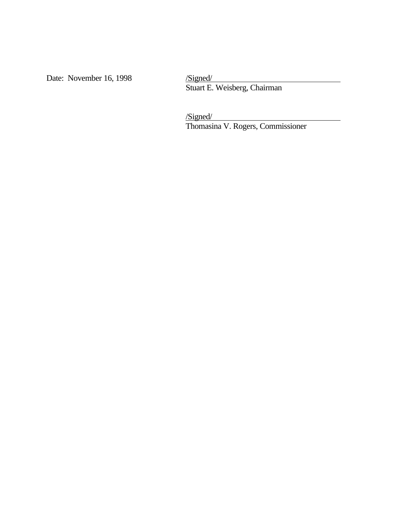Date: November 16, 1998

Stuart E. Weisberg, Chairman

/Signed/

Thomasina V. Rogers, Commissioner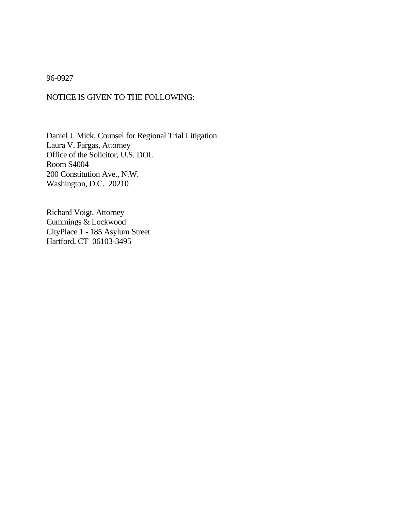## 96-0927

# NOTICE IS GIVEN TO THE FOLLOWING:

Daniel J. Mick, Counsel for Regional Trial Litigation Laura V. Fargas, Attorney Office of the Solicitor, U.S. DOL Room S4004 200 Constitution Ave., N.W. Washington, D.C. 20210

Richard Voigt, Attorney Cummings & Lockwood CityPlace 1 - 185 Asylum Street Hartford, CT 06103-3495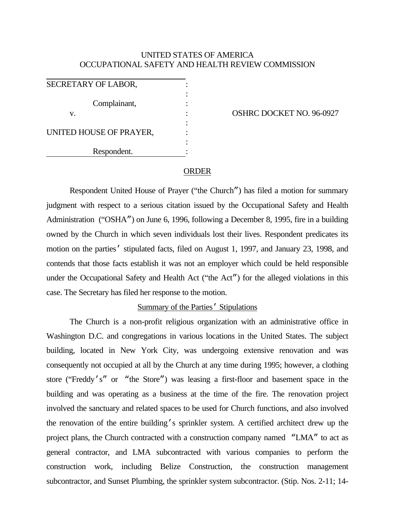# UNITED STATES OF AMERICA OCCUPATIONAL SAFETY AND HEALTH REVIEW COMMISSION

| SECRETARY OF LABOR,     |  |
|-------------------------|--|
| Complainant,            |  |
| V.                      |  |
| UNITED HOUSE OF PRAYER, |  |
| Respondent.             |  |

OSHRC DOCKET NO. 96-0927

#### ORDER

Respondent United House of Prayer ("the Church") has filed a motion for summary judgment with respect to a serious citation issued by the Occupational Safety and Health Administration ("OSHA") on June 6, 1996, following a December 8, 1995, fire in a building owned by the Church in which seven individuals lost their lives. Respondent predicates its motion on the parties' stipulated facts, filed on August 1, 1997, and January 23, 1998, and contends that those facts establish it was not an employer which could be held responsible under the Occupational Safety and Health Act ("the Act") for the alleged violations in this case. The Secretary has filed her response to the motion.

### Summary of the Parties' Stipulations

The Church is a non-profit religious organization with an administrative office in Washington D.C. and congregations in various locations in the United States. The subject building, located in New York City, was undergoing extensive renovation and was consequently not occupied at all by the Church at any time during 1995; however, a clothing store ("Freddy's" or "the Store") was leasing a first-floor and basement space in the building and was operating as a business at the time of the fire. The renovation project involved the sanctuary and related spaces to be used for Church functions, and also involved the renovation of the entire building's sprinkler system. A certified architect drew up the project plans, the Church contracted with a construction company named "LMA" to act as general contractor, and LMA subcontracted with various companies to perform the construction work, including Belize Construction, the construction management subcontractor, and Sunset Plumbing, the sprinkler system subcontractor. (Stip. Nos. 2-11; 14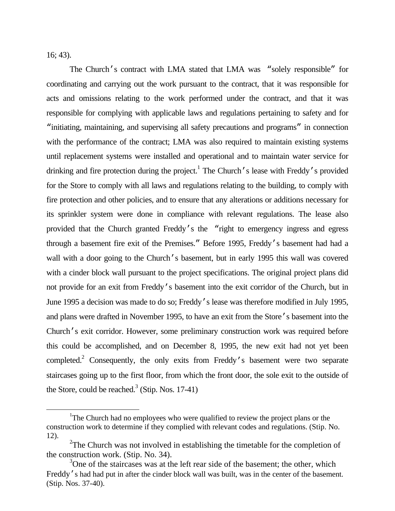16; 43).

 $\overline{a}$ 

The Church's contract with LMA stated that LMA was "solely responsible" for coordinating and carrying out the work pursuant to the contract, that it was responsible for acts and omissions relating to the work performed under the contract, and that it was responsible for complying with applicable laws and regulations pertaining to safety and for "initiating, maintaining, and supervising all safety precautions and programs" in connection with the performance of the contract; LMA was also required to maintain existing systems until replacement systems were installed and operational and to maintain water service for drinking and fire protection during the project.<sup>1</sup> The Church's lease with Freddy's provided for the Store to comply with all laws and regulations relating to the building, to comply with fire protection and other policies, and to ensure that any alterations or additions necessary for its sprinkler system were done in compliance with relevant regulations. The lease also provided that the Church granted Freddy's the "right to emergency ingress and egress through a basement fire exit of the Premises." Before 1995, Freddy's basement had had a wall with a door going to the Church's basement, but in early 1995 this wall was covered with a cinder block wall pursuant to the project specifications. The original project plans did not provide for an exit from Freddy's basement into the exit corridor of the Church, but in June 1995 a decision was made to do so; Freddy's lease was therefore modified in July 1995, and plans were drafted in November 1995, to have an exit from the Store's basement into the Church's exit corridor. However, some preliminary construction work was required before this could be accomplished, and on December 8, 1995, the new exit had not yet been completed.<sup>2</sup> Consequently, the only exits from Freddy's basement were two separate staircases going up to the first floor, from which the front door, the sole exit to the outside of the Store, could be reached. $3$  (Stip. Nos. 17-41)

<sup>&</sup>lt;sup>1</sup>The Church had no employees who were qualified to review the project plans or the construction work to determine if they complied with relevant codes and regulations. (Stip. No. 12).

<sup>&</sup>lt;sup>2</sup>The Church was not involved in establishing the timetable for the completion of the construction work. (Stip. No. 34).

<sup>&</sup>lt;sup>3</sup>One of the staircases was at the left rear side of the basement; the other, which Freddy's had had put in after the cinder block wall was built, was in the center of the basement. (Stip. Nos. 37-40).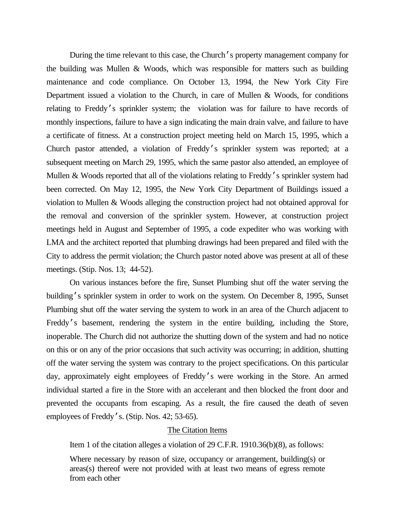During the time relevant to this case, the Church's property management company for the building was Mullen & Woods, which was responsible for matters such as building maintenance and code compliance. On October 13, 1994, the New York City Fire Department issued a violation to the Church, in care of Mullen & Woods, for conditions relating to Freddy's sprinkler system; the violation was for failure to have records of monthly inspections, failure to have a sign indicating the main drain valve, and failure to have a certificate of fitness. At a construction project meeting held on March 15, 1995, which a Church pastor attended, a violation of Freddy's sprinkler system was reported; at a subsequent meeting on March 29, 1995, which the same pastor also attended, an employee of Mullen & Woods reported that all of the violations relating to Freddy's sprinkler system had been corrected. On May 12, 1995, the New York City Department of Buildings issued a violation to Mullen & Woods alleging the construction project had not obtained approval for the removal and conversion of the sprinkler system. However, at construction project meetings held in August and September of 1995, a code expediter who was working with LMA and the architect reported that plumbing drawings had been prepared and filed with the City to address the permit violation; the Church pastor noted above was present at all of these meetings. (Stip. Nos. 13; 44-52).

On various instances before the fire, Sunset Plumbing shut off the water serving the building's sprinkler system in order to work on the system. On December 8, 1995, Sunset Plumbing shut off the water serving the system to work in an area of the Church adjacent to Freddy's basement, rendering the system in the entire building, including the Store, inoperable. The Church did not authorize the shutting down of the system and had no notice on this or on any of the prior occasions that such activity was occurring; in addition, shutting off the water serving the system was contrary to the project specifications. On this particular day, approximately eight employees of Freddy's were working in the Store. An armed individual started a fire in the Store with an accelerant and then blocked the front door and prevented the occupants from escaping. As a result, the fire caused the death of seven employees of Freddy's. (Stip. Nos. 42; 53-65).

## The Citation Items

Item 1 of the citation alleges a violation of 29 C.F.R. 1910.36(b)(8), as follows:

Where necessary by reason of size, occupancy or arrangement, building(s) or areas(s) thereof were not provided with at least two means of egress remote from each other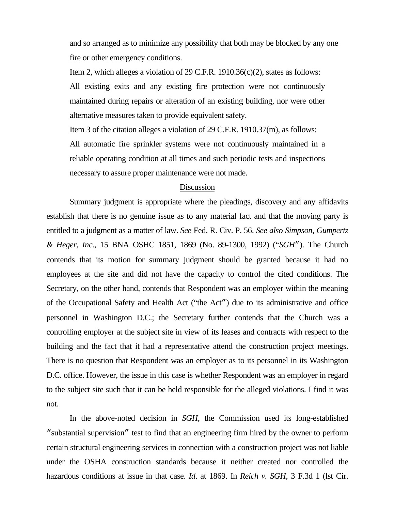and so arranged as to minimize any possibility that both may be blocked by any one fire or other emergency conditions.

Item 2, which alleges a violation of 29 C.F.R. 1910.36(c)(2), states as follows: All existing exits and any existing fire protection were not continuously maintained during repairs or alteration of an existing building, nor were other alternative measures taken to provide equivalent safety.

Item 3 of the citation alleges a violation of 29 C.F.R. 1910.37(m), as follows:

All automatic fire sprinkler systems were not continuously maintained in a reliable operating condition at all times and such periodic tests and inspections necessary to assure proper maintenance were not made.

### **Discussion**

Summary judgment is appropriate where the pleadings, discovery and any affidavits establish that there is no genuine issue as to any material fact and that the moving party is entitled to a judgment as a matter of law. *See* Fed. R. Civ. P. 56. *See also Simpson, Gumpertz & Heger, Inc.*, 15 BNA OSHC 1851, 1869 (No. 89-1300, 1992) ("*SGH*"). The Church contends that its motion for summary judgment should be granted because it had no employees at the site and did not have the capacity to control the cited conditions. The Secretary, on the other hand, contends that Respondent was an employer within the meaning of the Occupational Safety and Health Act ("the Act") due to its administrative and office personnel in Washington D.C.; the Secretary further contends that the Church was a controlling employer at the subject site in view of its leases and contracts with respect to the building and the fact that it had a representative attend the construction project meetings. There is no question that Respondent was an employer as to its personnel in its Washington D.C. office. However, the issue in this case is whether Respondent was an employer in regard to the subject site such that it can be held responsible for the alleged violations. I find it was not.

In the above-noted decision in *SGH*, the Commission used its long-established "substantial supervision" test to find that an engineering firm hired by the owner to perform certain structural engineering services in connection with a construction project was not liable under the OSHA construction standards because it neither created nor controlled the hazardous conditions at issue in that case. *Id*. at 1869. In *Reich v. SGH*, 3 F.3d 1 (lst Cir.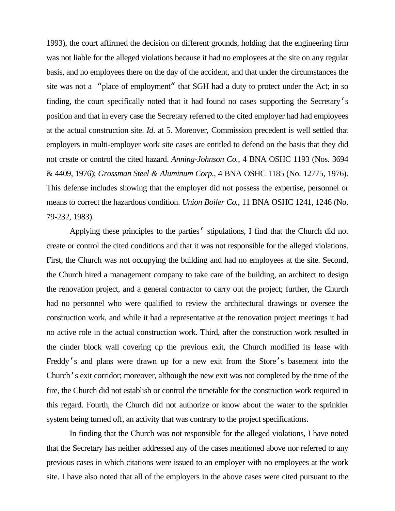1993), the court affirmed the decision on different grounds, holding that the engineering firm was not liable for the alleged violations because it had no employees at the site on any regular basis, and no employees there on the day of the accident, and that under the circumstances the site was not a "place of employment" that SGH had a duty to protect under the Act; in so finding, the court specifically noted that it had found no cases supporting the Secretary's position and that in every case the Secretary referred to the cited employer had had employees at the actual construction site. *Id*. at 5. Moreover, Commission precedent is well settled that employers in multi-employer work site cases are entitled to defend on the basis that they did not create or control the cited hazard. *Anning-Johnson Co.*, 4 BNA OSHC 1193 (Nos. 3694 & 4409, 1976); *Grossman Steel & Aluminum Corp.*, 4 BNA OSHC 1185 (No. 12775, 1976). This defense includes showing that the employer did not possess the expertise, personnel or means to correct the hazardous condition. *Union Boiler Co.*, 11 BNA OSHC 1241, 1246 (No. 79-232, 1983).

Applying these principles to the parties' stipulations, I find that the Church did not create or control the cited conditions and that it was not responsible for the alleged violations. First, the Church was not occupying the building and had no employees at the site. Second, the Church hired a management company to take care of the building, an architect to design the renovation project, and a general contractor to carry out the project; further, the Church had no personnel who were qualified to review the architectural drawings or oversee the construction work, and while it had a representative at the renovation project meetings it had no active role in the actual construction work. Third, after the construction work resulted in the cinder block wall covering up the previous exit, the Church modified its lease with Freddy's and plans were drawn up for a new exit from the Store's basement into the Church's exit corridor; moreover, although the new exit was not completed by the time of the fire, the Church did not establish or control the timetable for the construction work required in this regard. Fourth, the Church did not authorize or know about the water to the sprinkler system being turned off, an activity that was contrary to the project specifications.

In finding that the Church was not responsible for the alleged violations, I have noted that the Secretary has neither addressed any of the cases mentioned above nor referred to any previous cases in which citations were issued to an employer with no employees at the work site. I have also noted that all of the employers in the above cases were cited pursuant to the